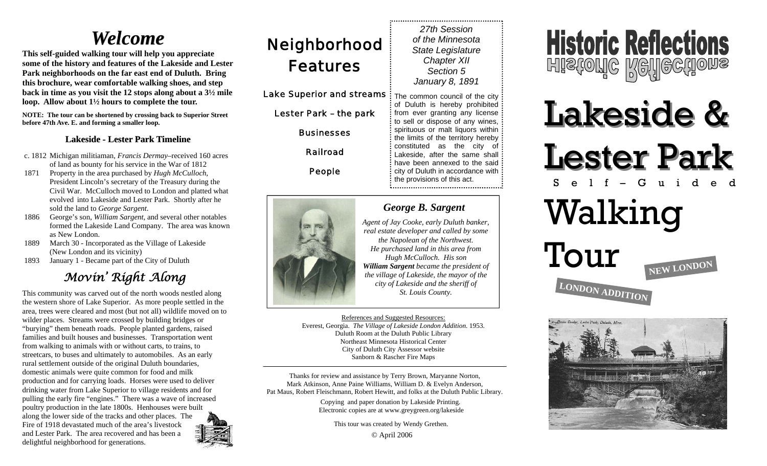## *Welcome Welcome*

**This self-guided walking tour will help you appreciate some of the history and features of the Lakeside and Lester Park neighborhoods on the far east end of Duluth. Bring this brochure, wear comfortable walking shoes, and step back in time as you visit the 12 stops along about a 3½ mile loop. Allow about 1½ hours to complete the tour.** 

**NOTE: The tour can be shortened by crossing back to Superior Street before 47th Ave. E. and forming a smaller loop.** 

#### Lakeside - Lester Park Timeline

- c. 1812 Michigan militiaman, *Francis Dermay*–received 160 acres of land as bounty for his service in the War of 1812
- 1871 Property in the area purchased by *Hugh McCulloch*, President Lincoln's secretary of the Treasury during the Civil War. McCulloch moved to London and platted what evolved into Lakeside and Lester Park. Shortly after he sold the land to *George Sargent*.
- 1886 George's son, *William Sargent,* and several other notables formed the Lakeside Land Company. The area was known as New London.
- 1889 March 30 Incorporated as the Village of Lakeside (New London and its vicinity)
- 1893 January 1 Became part of the City of Duluth

### *Movin' Right Along*

This community was carved out of the north woods nestled along the western shore of Lake Superior. As more people settled in the area, trees were cleared and most (but not all) wildlife moved on to wilder places. Streams were crossed by building bridges or "burying" them beneath roads. People planted gardens, raised families and built houses and businesses. Transportation went from walking to animals with or without carts, to trains, to streetcars, to buses and ultimately to automobiles. As an early rural settlement outside of the original Duluth boundaries, domestic animals were quite common for food and milk production and for carrying loads. Horses were used to deliver drinking water from Lake Superior to village residents and for pulling the early fire "engines." There was a wave of increased poultry production in the late 1800s. Henhouses were built along the lower side of the tracks and other places. The Fire of 1918 devastated much of the area's livestock and Lester Park. The area recovered and has been a delightful neighborhood for generations.



## **Neighborhood** Features

Lake Superior and streams  $\frac{1}{3}$  The common council of the city

Lester Park – the park

**Businesses** 

Railroad

People



## *George B. Sargent*

*27th Session of the Minnesota State Legislature Chapter XII Section 5 January 8, 1891* 

of Duluth is hereby prohibited from ever granting any license to sell or dispose of any wines, spirituous or malt liquors within the limits of the territory hereby constituted as the city of Lakeside, after the same shall: have been annexed to the said: city of Duluth in accordance with the provisions of this act.

*Agent of Jay Cooke, early Duluth banker, real estate developer and called by some the Napolean of the Northwest. He purchased land in this area from Hugh McCulloch. His son William Sargent became the president of the village of Lakeside, the mayor of the city of Lakeside and the sheriff of St. Louis County.* 

References and Suggested Resources: Everest, Georgia. *The Village of Lakeside London Addition*. 1953. Duluth Room at the Duluth Public Library Northeast Minnesota Historical Center City of Duluth City Assessor website Sanborn & Rascher Fire Maps

Thanks for review and assistance by Terry Brown, Maryanne Norton, Mark Atkinson, Anne Paine Williams, William D. & Evelyn Anderson, Pat Maus, Robert Fleischmann, Robert Hewitt, and folks at the Duluth Public Library.

> Copying and paper donation by Lakeside Printing. Electronic copies are at www.greygreen.org/lakeside

> > © April 2006 This tour was created by Wendy Grethen.



# Lakeside & Lester Park Self–Guided

# Walking

Tour **NEW LONDON LONDON ADDITION**